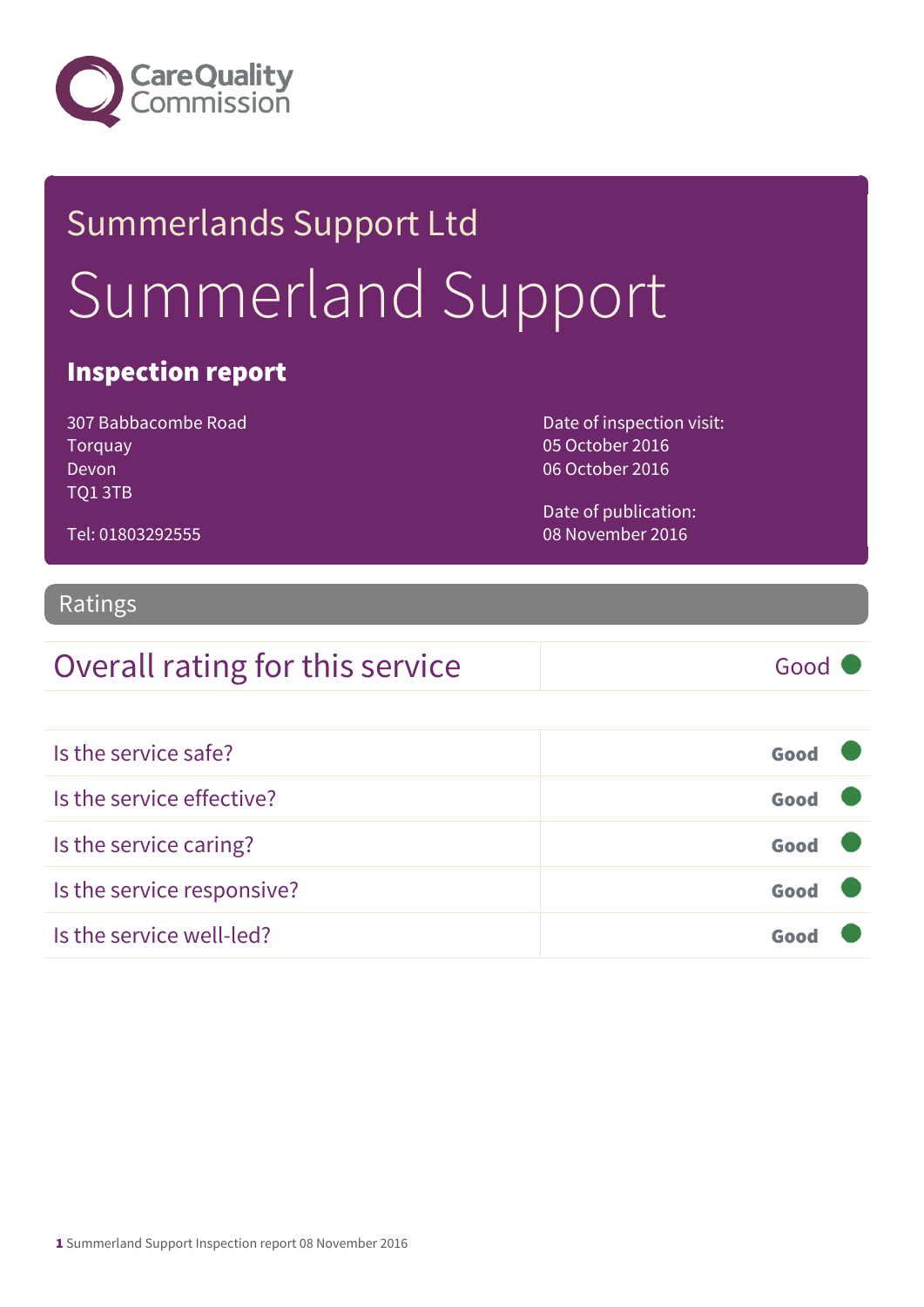

# Summerlands Support Ltd Summerland Support

#### Inspection report

307 Babbacombe Road Torquay Devon TQ1 3TB

Tel: 01803292555

Date of inspection visit: 05 October 2016 06 October 2016

Date of publication: 08 November 2016

### Ratings

#### Overall rating for this service Good

| Is the service safe?       | Good |  |
|----------------------------|------|--|
| Is the service effective?  | Good |  |
| Is the service caring?     | Good |  |
| Is the service responsive? | Good |  |
| Is the service well-led?   |      |  |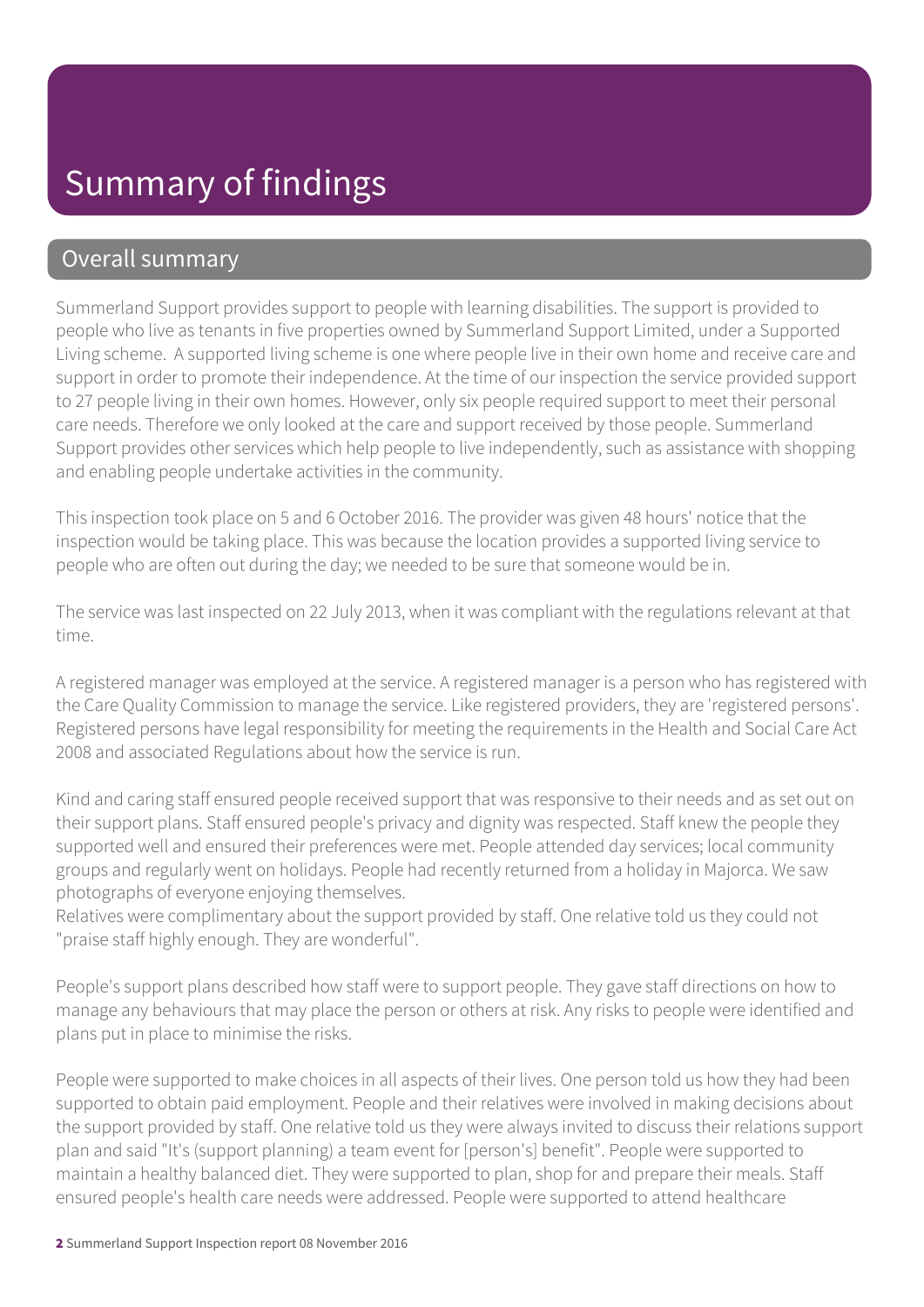#### Overall summary

Summerland Support provides support to people with learning disabilities. The support is provided to people who live as tenants in five properties owned by Summerland Support Limited, under a Supported Living scheme. A supported living scheme is one where people live in their own home and receive care and support in order to promote their independence. At the time of our inspection the service provided support to 27 people living in their own homes. However, only six people required support to meet their personal care needs. Therefore we only looked at the care and support received by those people. Summerland Support provides other services which help people to live independently, such as assistance with shopping and enabling people undertake activities in the community.

This inspection took place on 5 and 6 October 2016. The provider was given 48 hours' notice that the inspection would be taking place. This was because the location provides a supported living service to people who are often out during the day; we needed to be sure that someone would be in.

The service was last inspected on 22 July 2013, when it was compliant with the regulations relevant at that time.

A registered manager was employed at the service. A registered manager is a person who has registered with the Care Quality Commission to manage the service. Like registered providers, they are 'registered persons'. Registered persons have legal responsibility for meeting the requirements in the Health and Social Care Act 2008 and associated Regulations about how the service is run.

Kind and caring staff ensured people received support that was responsive to their needs and as set out on their support plans. Staff ensured people's privacy and dignity was respected. Staff knew the people they supported well and ensured their preferences were met. People attended day services; local community groups and regularly went on holidays. People had recently returned from a holiday in Majorca. We saw photographs of everyone enjoying themselves.

Relatives were complimentary about the support provided by staff. One relative told us they could not "praise staff highly enough. They are wonderful".

People's support plans described how staff were to support people. They gave staff directions on how to manage any behaviours that may place the person or others at risk. Any risks to people were identified and plans put in place to minimise the risks.

People were supported to make choices in all aspects of their lives. One person told us how they had been supported to obtain paid employment. People and their relatives were involved in making decisions about the support provided by staff. One relative told us they were always invited to discuss their relations support plan and said "It's (support planning) a team event for [person's] benefit". People were supported to maintain a healthy balanced diet. They were supported to plan, shop for and prepare their meals. Staff ensured people's health care needs were addressed. People were supported to attend healthcare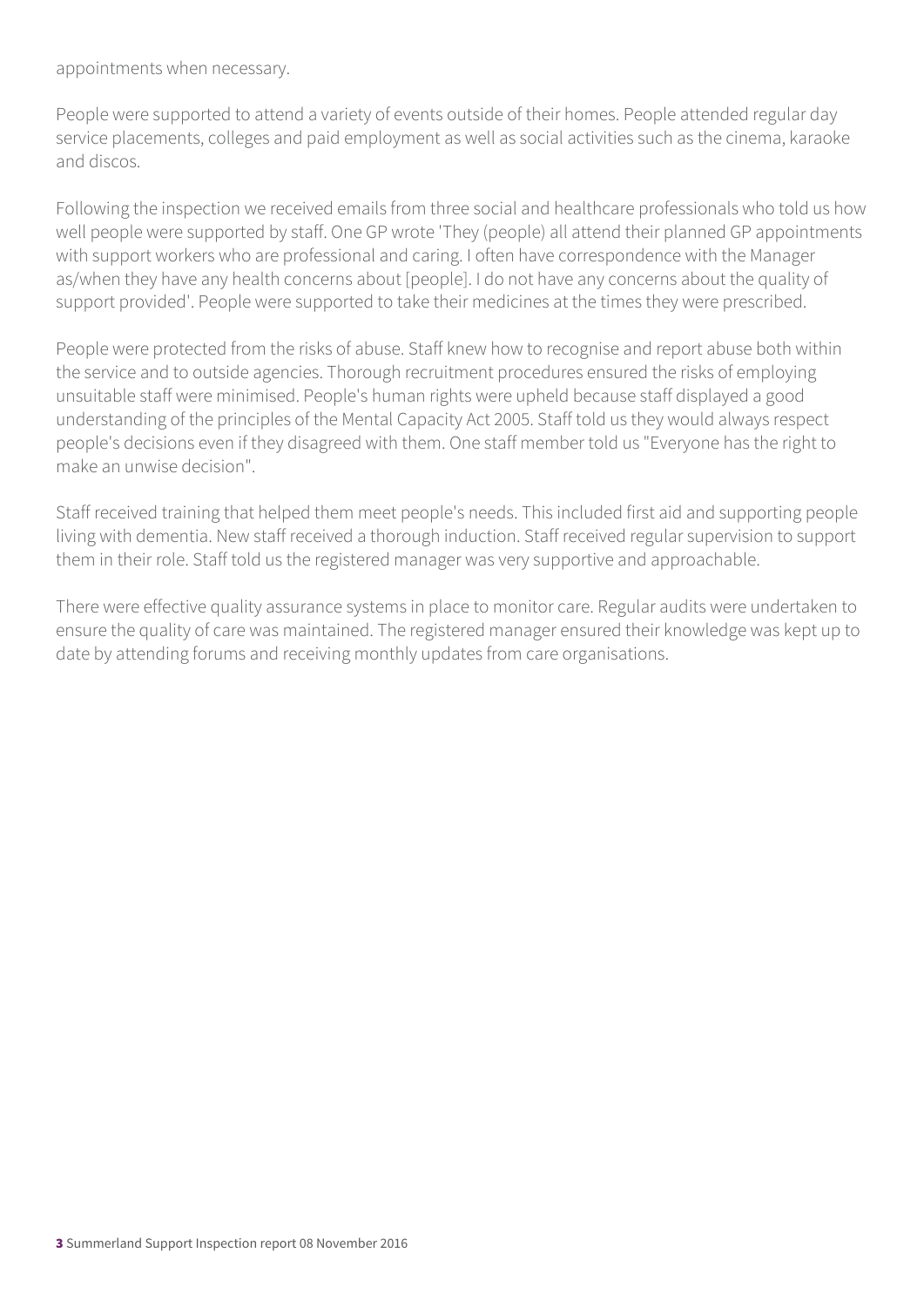appointments when necessary.

People were supported to attend a variety of events outside of their homes. People attended regular day service placements, colleges and paid employment as well as social activities such as the cinema, karaoke and discos.

Following the inspection we received emails from three social and healthcare professionals who told us how well people were supported by staff. One GP wrote 'They (people) all attend their planned GP appointments with support workers who are professional and caring. I often have correspondence with the Manager as/when they have any health concerns about [people]. I do not have any concerns about the quality of support provided'. People were supported to take their medicines at the times they were prescribed.

People were protected from the risks of abuse. Staff knew how to recognise and report abuse both within the service and to outside agencies. Thorough recruitment procedures ensured the risks of employing unsuitable staff were minimised. People's human rights were upheld because staff displayed a good understanding of the principles of the Mental Capacity Act 2005. Staff told us they would always respect people's decisions even if they disagreed with them. One staff member told us "Everyone has the right to make an unwise decision".

Staff received training that helped them meet people's needs. This included first aid and supporting people living with dementia. New staff received a thorough induction. Staff received regular supervision to support them in their role. Staff told us the registered manager was very supportive and approachable.

There were effective quality assurance systems in place to monitor care. Regular audits were undertaken to ensure the quality of care was maintained. The registered manager ensured their knowledge was kept up to date by attending forums and receiving monthly updates from care organisations.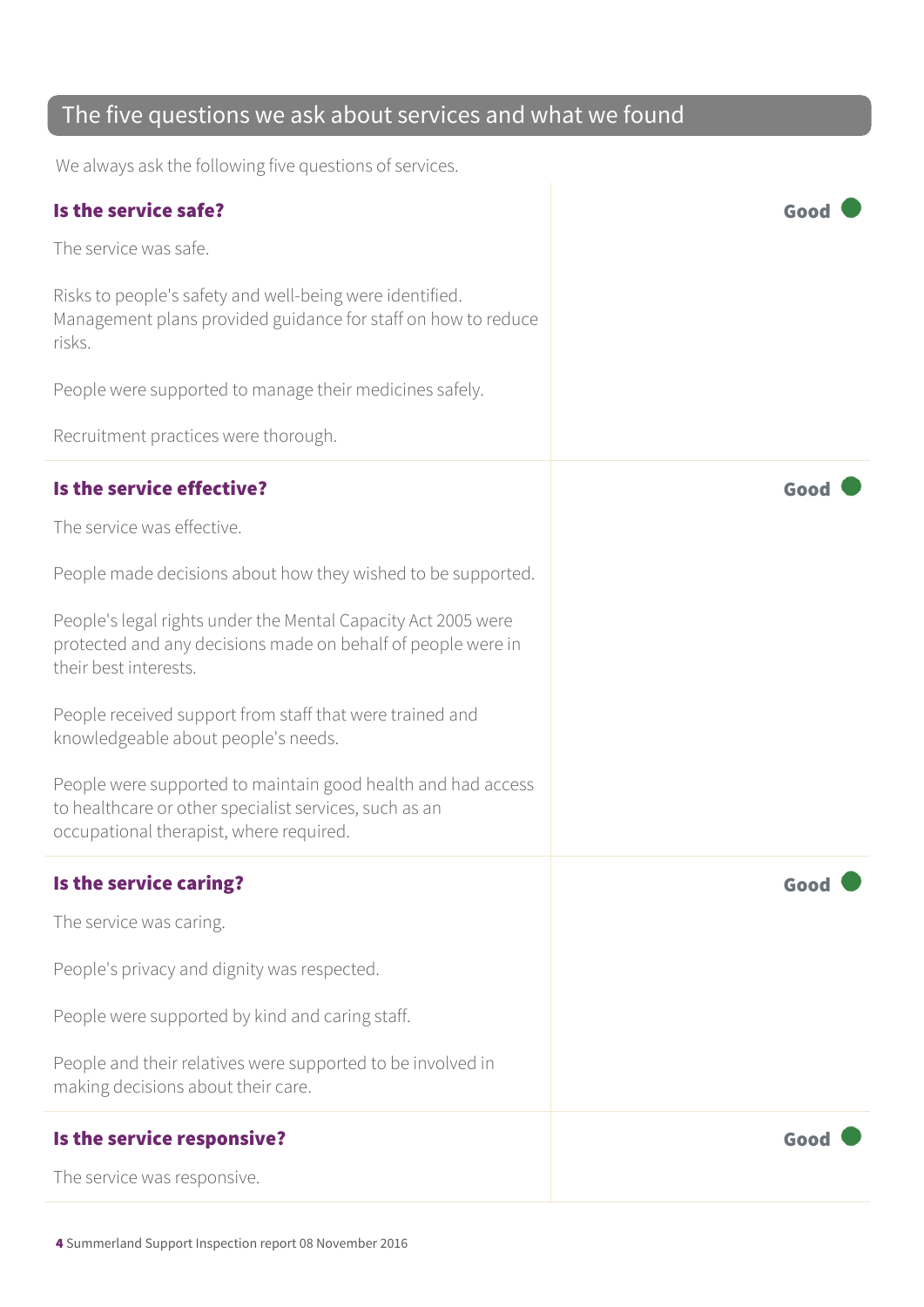#### The five questions we ask about services and what we found

We always ask the following five questions of services.

| Is the service safe?                                                                                                                                              |      |
|-------------------------------------------------------------------------------------------------------------------------------------------------------------------|------|
| The service was safe.                                                                                                                                             |      |
| Risks to people's safety and well-being were identified.<br>Management plans provided guidance for staff on how to reduce<br>risks.                               |      |
| People were supported to manage their medicines safely.                                                                                                           |      |
| Recruitment practices were thorough.                                                                                                                              |      |
| Is the service effective?                                                                                                                                         | Good |
| The service was effective.                                                                                                                                        |      |
| People made decisions about how they wished to be supported.                                                                                                      |      |
| People's legal rights under the Mental Capacity Act 2005 were<br>protected and any decisions made on behalf of people were in<br>their best interests.            |      |
| People received support from staff that were trained and<br>knowledgeable about people's needs.                                                                   |      |
| People were supported to maintain good health and had access<br>to healthcare or other specialist services, such as an<br>occupational therapist, where required. |      |
| Is the service caring?                                                                                                                                            | Good |
| The service was caring.                                                                                                                                           |      |
| People's privacy and dignity was respected.                                                                                                                       |      |
| People were supported by kind and caring staff.                                                                                                                   |      |
| People and their relatives were supported to be involved in<br>making decisions about their care.                                                                 |      |
| Is the service responsive?                                                                                                                                        | Good |
| The service was responsive.                                                                                                                                       |      |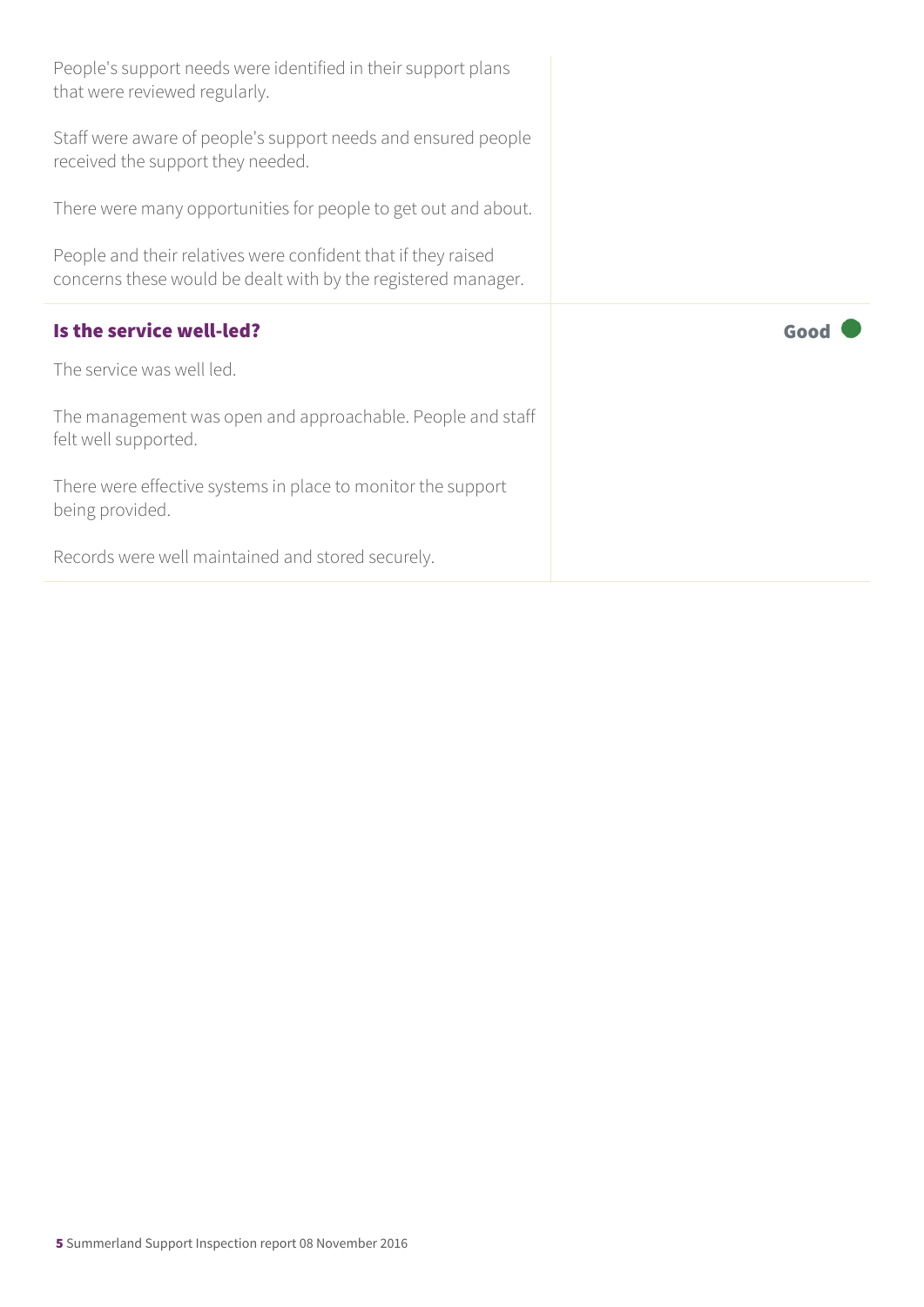| People's support needs were identified in their support plans<br>that were reviewed regularly.                                 |      |
|--------------------------------------------------------------------------------------------------------------------------------|------|
| Staff were aware of people's support needs and ensured people<br>received the support they needed.                             |      |
| There were many opportunities for people to get out and about.                                                                 |      |
| People and their relatives were confident that if they raised<br>concerns these would be dealt with by the registered manager. |      |
|                                                                                                                                |      |
|                                                                                                                                | Good |
| Is the service well-led?<br>The service was well led.                                                                          |      |
| The management was open and approachable. People and staff<br>felt well supported.                                             |      |
| There were effective systems in place to monitor the support<br>being provided.                                                |      |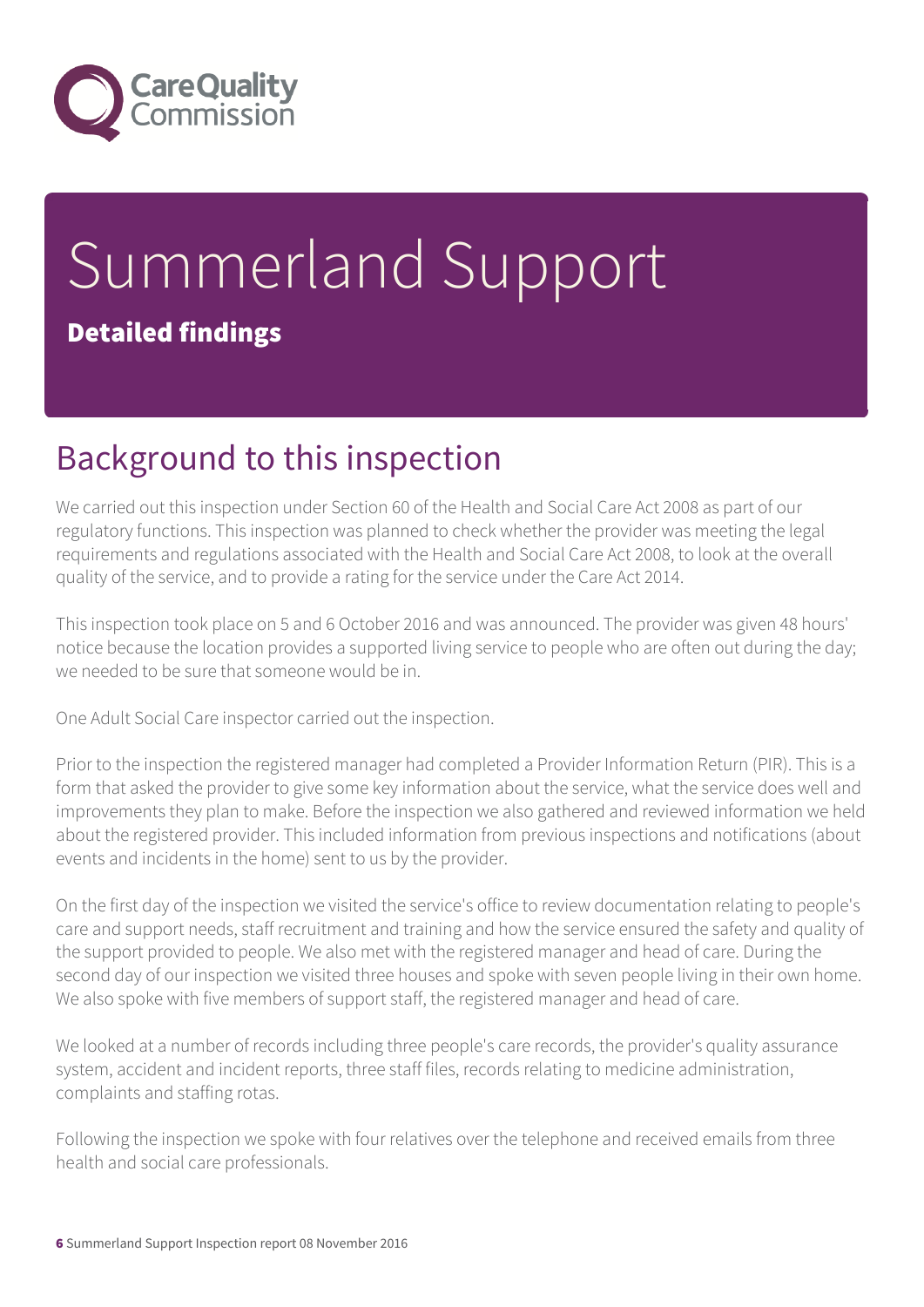

# Summerland Support Detailed findings

# Background to this inspection

We carried out this inspection under Section 60 of the Health and Social Care Act 2008 as part of our regulatory functions. This inspection was planned to check whether the provider was meeting the legal requirements and regulations associated with the Health and Social Care Act 2008, to look at the overall quality of the service, and to provide a rating for the service under the Care Act 2014.

This inspection took place on 5 and 6 October 2016 and was announced. The provider was given 48 hours' notice because the location provides a supported living service to people who are often out during the day; we needed to be sure that someone would be in.

One Adult Social Care inspector carried out the inspection.

Prior to the inspection the registered manager had completed a Provider Information Return (PIR). This is a form that asked the provider to give some key information about the service, what the service does well and improvements they plan to make. Before the inspection we also gathered and reviewed information we held about the registered provider. This included information from previous inspections and notifications (about events and incidents in the home) sent to us by the provider.

On the first day of the inspection we visited the service's office to review documentation relating to people's care and support needs, staff recruitment and training and how the service ensured the safety and quality of the support provided to people. We also met with the registered manager and head of care. During the second day of our inspection we visited three houses and spoke with seven people living in their own home. We also spoke with five members of support staff, the registered manager and head of care.

We looked at a number of records including three people's care records, the provider's quality assurance system, accident and incident reports, three staff files, records relating to medicine administration, complaints and staffing rotas.

Following the inspection we spoke with four relatives over the telephone and received emails from three health and social care professionals.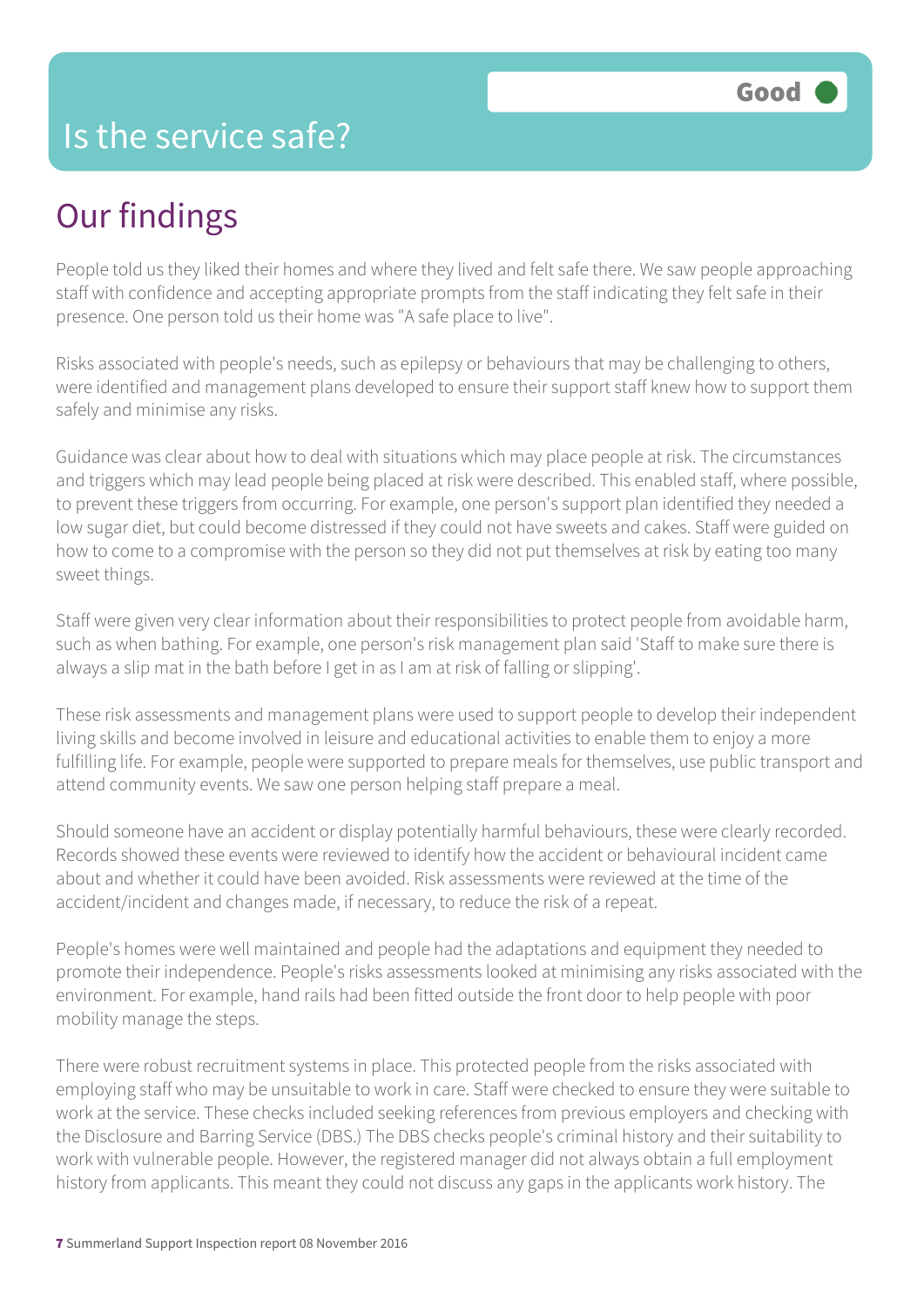### Is the service safe?

# Our findings

People told us they liked their homes and where they lived and felt safe there. We saw people approaching staff with confidence and accepting appropriate prompts from the staff indicating they felt safe in their presence. One person told us their home was "A safe place to live".

Risks associated with people's needs, such as epilepsy or behaviours that may be challenging to others, were identified and management plans developed to ensure their support staff knew how to support them safely and minimise any risks.

Guidance was clear about how to deal with situations which may place people at risk. The circumstances and triggers which may lead people being placed at risk were described. This enabled staff, where possible, to prevent these triggers from occurring. For example, one person's support plan identified they needed a low sugar diet, but could become distressed if they could not have sweets and cakes. Staff were guided on how to come to a compromise with the person so they did not put themselves at risk by eating too many sweet things.

Staff were given very clear information about their responsibilities to protect people from avoidable harm, such as when bathing. For example, one person's risk management plan said 'Staff to make sure there is always a slip mat in the bath before I get in as I am at risk of falling or slipping'.

These risk assessments and management plans were used to support people to develop their independent living skills and become involved in leisure and educational activities to enable them to enjoy a more fulfilling life. For example, people were supported to prepare meals for themselves, use public transport and attend community events. We saw one person helping staff prepare a meal.

Should someone have an accident or display potentially harmful behaviours, these were clearly recorded. Records showed these events were reviewed to identify how the accident or behavioural incident came about and whether it could have been avoided. Risk assessments were reviewed at the time of the accident/incident and changes made, if necessary, to reduce the risk of a repeat.

People's homes were well maintained and people had the adaptations and equipment they needed to promote their independence. People's risks assessments looked at minimising any risks associated with the environment. For example, hand rails had been fitted outside the front door to help people with poor mobility manage the steps.

There were robust recruitment systems in place. This protected people from the risks associated with employing staff who may be unsuitable to work in care. Staff were checked to ensure they were suitable to work at the service. These checks included seeking references from previous employers and checking with the Disclosure and Barring Service (DBS.) The DBS checks people's criminal history and their suitability to work with vulnerable people. However, the registered manager did not always obtain a full employment history from applicants. This meant they could not discuss any gaps in the applicants work history. The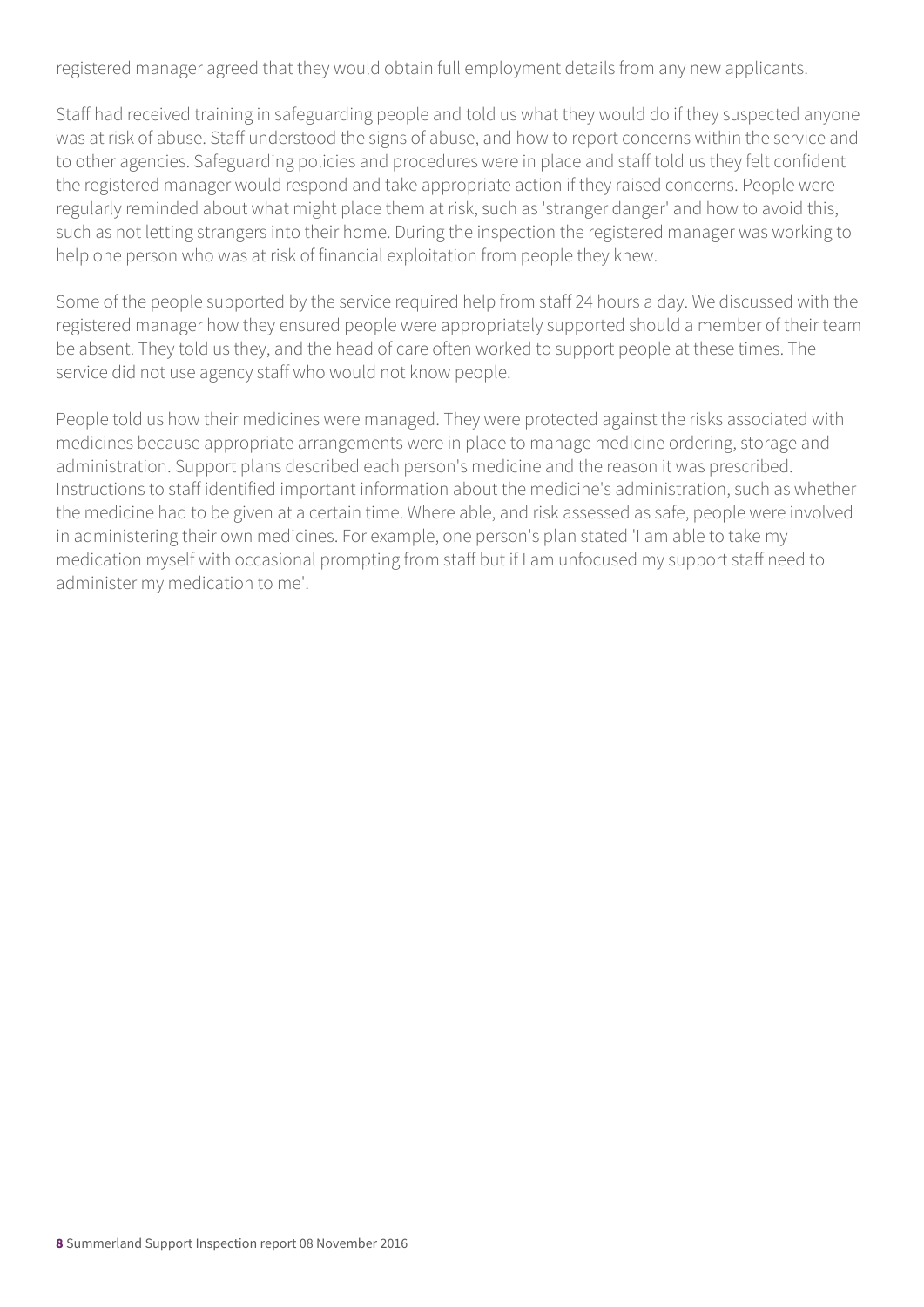registered manager agreed that they would obtain full employment details from any new applicants.

Staff had received training in safeguarding people and told us what they would do if they suspected anyone was at risk of abuse. Staff understood the signs of abuse, and how to report concerns within the service and to other agencies. Safeguarding policies and procedures were in place and staff told us they felt confident the registered manager would respond and take appropriate action if they raised concerns. People were regularly reminded about what might place them at risk, such as 'stranger danger' and how to avoid this, such as not letting strangers into their home. During the inspection the registered manager was working to help one person who was at risk of financial exploitation from people they knew.

Some of the people supported by the service required help from staff 24 hours a day. We discussed with the registered manager how they ensured people were appropriately supported should a member of their team be absent. They told us they, and the head of care often worked to support people at these times. The service did not use agency staff who would not know people.

People told us how their medicines were managed. They were protected against the risks associated with medicines because appropriate arrangements were in place to manage medicine ordering, storage and administration. Support plans described each person's medicine and the reason it was prescribed. Instructions to staff identified important information about the medicine's administration, such as whether the medicine had to be given at a certain time. Where able, and risk assessed as safe, people were involved in administering their own medicines. For example, one person's plan stated 'I am able to take my medication myself with occasional prompting from staff but if I am unfocused my support staff need to administer my medication to me'.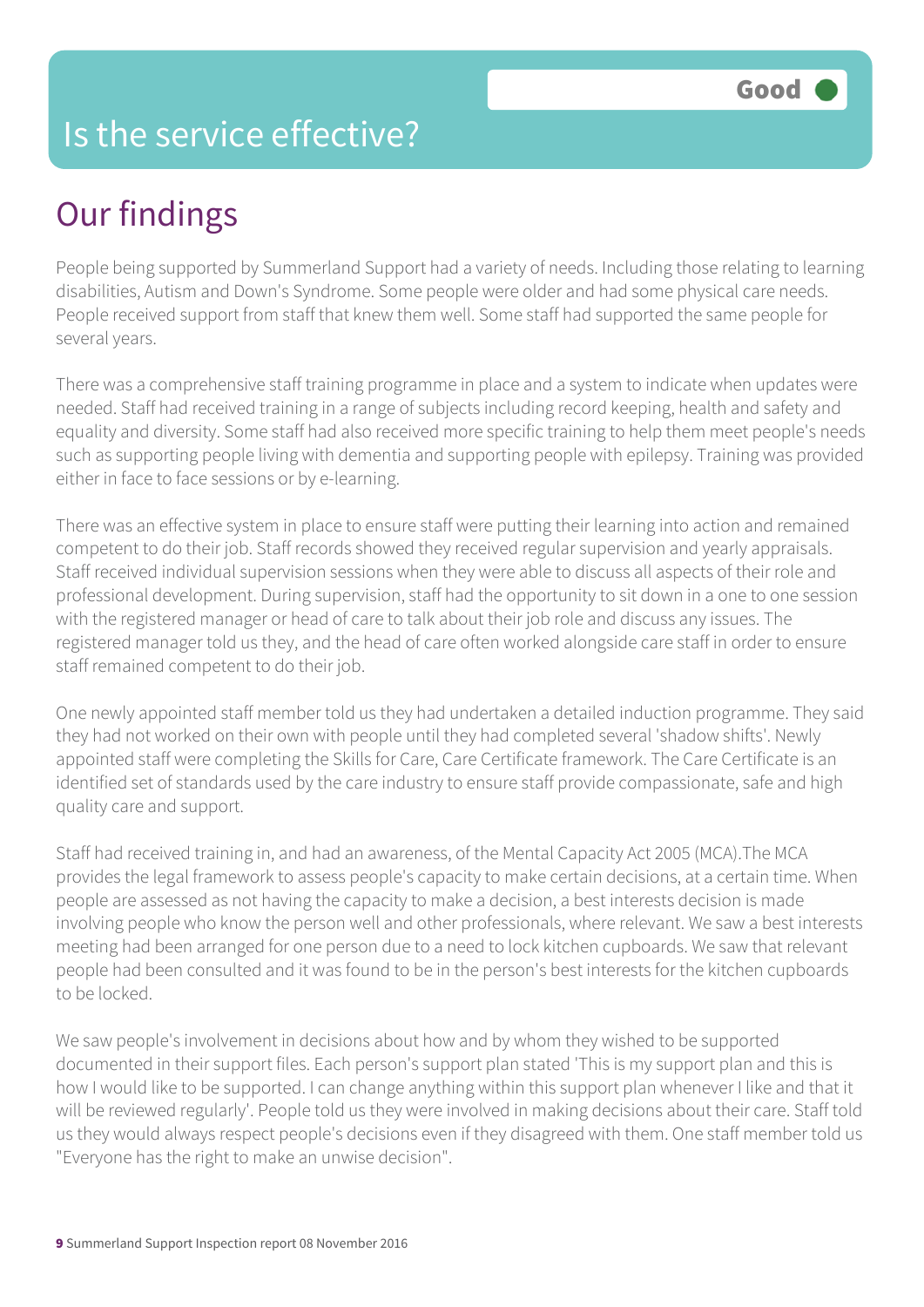## Is the service effective?

# Our findings

People being supported by Summerland Support had a variety of needs. Including those relating to learning disabilities, Autism and Down's Syndrome. Some people were older and had some physical care needs. People received support from staff that knew them well. Some staff had supported the same people for several years.

There was a comprehensive staff training programme in place and a system to indicate when updates were needed. Staff had received training in a range of subjects including record keeping, health and safety and equality and diversity. Some staff had also received more specific training to help them meet people's needs such as supporting people living with dementia and supporting people with epilepsy. Training was provided either in face to face sessions or by e-learning.

There was an effective system in place to ensure staff were putting their learning into action and remained competent to do their job. Staff records showed they received regular supervision and yearly appraisals. Staff received individual supervision sessions when they were able to discuss all aspects of their role and professional development. During supervision, staff had the opportunity to sit down in a one to one session with the registered manager or head of care to talk about their job role and discuss any issues. The registered manager told us they, and the head of care often worked alongside care staff in order to ensure staff remained competent to do their job.

One newly appointed staff member told us they had undertaken a detailed induction programme. They said they had not worked on their own with people until they had completed several 'shadow shifts'. Newly appointed staff were completing the Skills for Care, Care Certificate framework. The Care Certificate is an identified set of standards used by the care industry to ensure staff provide compassionate, safe and high quality care and support.

Staff had received training in, and had an awareness, of the Mental Capacity Act 2005 (MCA).The MCA provides the legal framework to assess people's capacity to make certain decisions, at a certain time. When people are assessed as not having the capacity to make a decision, a best interests decision is made involving people who know the person well and other professionals, where relevant. We saw a best interests meeting had been arranged for one person due to a need to lock kitchen cupboards. We saw that relevant people had been consulted and it was found to be in the person's best interests for the kitchen cupboards to be locked.

We saw people's involvement in decisions about how and by whom they wished to be supported documented in their support files. Each person's support plan stated 'This is my support plan and this is how I would like to be supported. I can change anything within this support plan whenever I like and that it will be reviewed regularly'. People told us they were involved in making decisions about their care. Staff told us they would always respect people's decisions even if they disagreed with them. One staff member told us "Everyone has the right to make an unwise decision".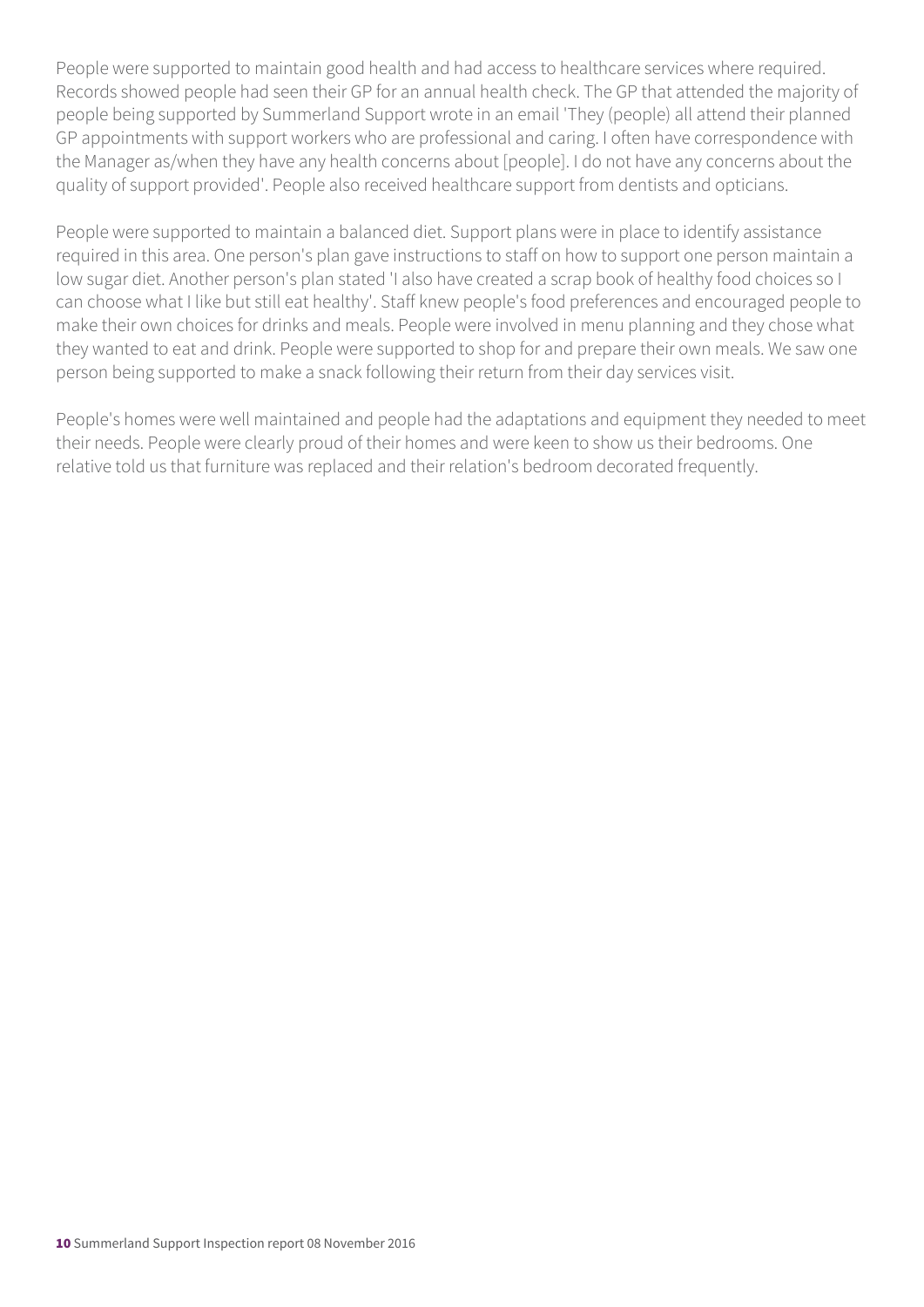People were supported to maintain good health and had access to healthcare services where required. Records showed people had seen their GP for an annual health check. The GP that attended the majority of people being supported by Summerland Support wrote in an email 'They (people) all attend their planned GP appointments with support workers who are professional and caring. I often have correspondence with the Manager as/when they have any health concerns about [people]. I do not have any concerns about the quality of support provided'. People also received healthcare support from dentists and opticians.

People were supported to maintain a balanced diet. Support plans were in place to identify assistance required in this area. One person's plan gave instructions to staff on how to support one person maintain a low sugar diet. Another person's plan stated 'I also have created a scrap book of healthy food choices so I can choose what I like but still eat healthy'. Staff knew people's food preferences and encouraged people to make their own choices for drinks and meals. People were involved in menu planning and they chose what they wanted to eat and drink. People were supported to shop for and prepare their own meals. We saw one person being supported to make a snack following their return from their day services visit.

People's homes were well maintained and people had the adaptations and equipment they needed to meet their needs. People were clearly proud of their homes and were keen to show us their bedrooms. One relative told us that furniture was replaced and their relation's bedroom decorated frequently.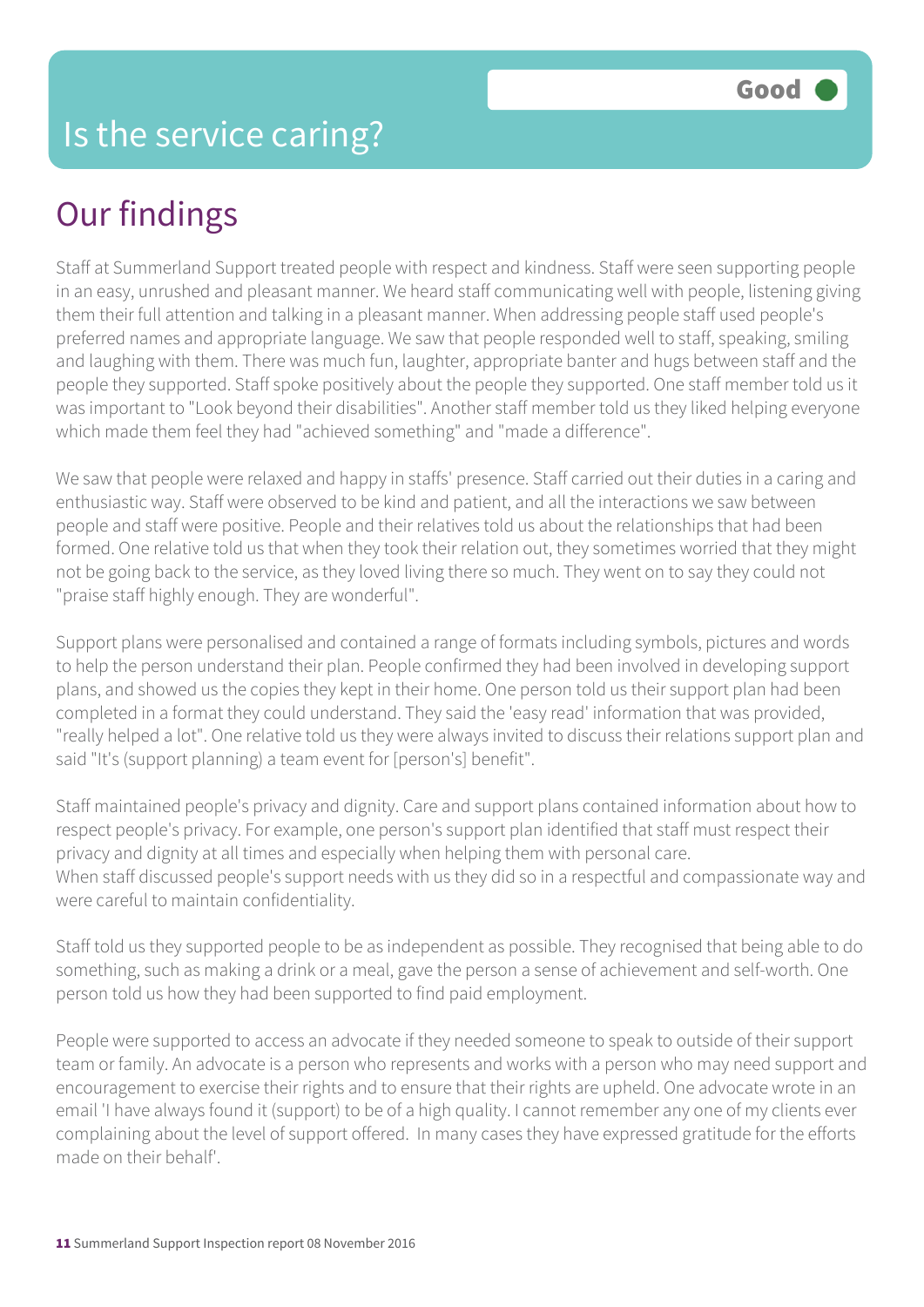# Our findings

Staff at Summerland Support treated people with respect and kindness. Staff were seen supporting people in an easy, unrushed and pleasant manner. We heard staff communicating well with people, listening giving them their full attention and talking in a pleasant manner. When addressing people staff used people's preferred names and appropriate language. We saw that people responded well to staff, speaking, smiling and laughing with them. There was much fun, laughter, appropriate banter and hugs between staff and the people they supported. Staff spoke positively about the people they supported. One staff member told us it was important to "Look beyond their disabilities". Another staff member told us they liked helping everyone which made them feel they had "achieved something" and "made a difference".

We saw that people were relaxed and happy in staffs' presence. Staff carried out their duties in a caring and enthusiastic way. Staff were observed to be kind and patient, and all the interactions we saw between people and staff were positive. People and their relatives told us about the relationships that had been formed. One relative told us that when they took their relation out, they sometimes worried that they might not be going back to the service, as they loved living there so much. They went on to say they could not "praise staff highly enough. They are wonderful".

Support plans were personalised and contained a range of formats including symbols, pictures and words to help the person understand their plan. People confirmed they had been involved in developing support plans, and showed us the copies they kept in their home. One person told us their support plan had been completed in a format they could understand. They said the 'easy read' information that was provided, "really helped a lot". One relative told us they were always invited to discuss their relations support plan and said "It's (support planning) a team event for [person's] benefit".

Staff maintained people's privacy and dignity. Care and support plans contained information about how to respect people's privacy. For example, one person's support plan identified that staff must respect their privacy and dignity at all times and especially when helping them with personal care. When staff discussed people's support needs with us they did so in a respectful and compassionate way and were careful to maintain confidentiality.

Staff told us they supported people to be as independent as possible. They recognised that being able to do something, such as making a drink or a meal, gave the person a sense of achievement and self-worth. One person told us how they had been supported to find paid employment.

People were supported to access an advocate if they needed someone to speak to outside of their support team or family. An advocate is a person who represents and works with a person who may need support and encouragement to exercise their rights and to ensure that their rights are upheld. One advocate wrote in an email 'I have always found it (support) to be of a high quality. I cannot remember any one of my clients ever complaining about the level of support offered. In many cases they have expressed gratitude for the efforts made on their behalf'.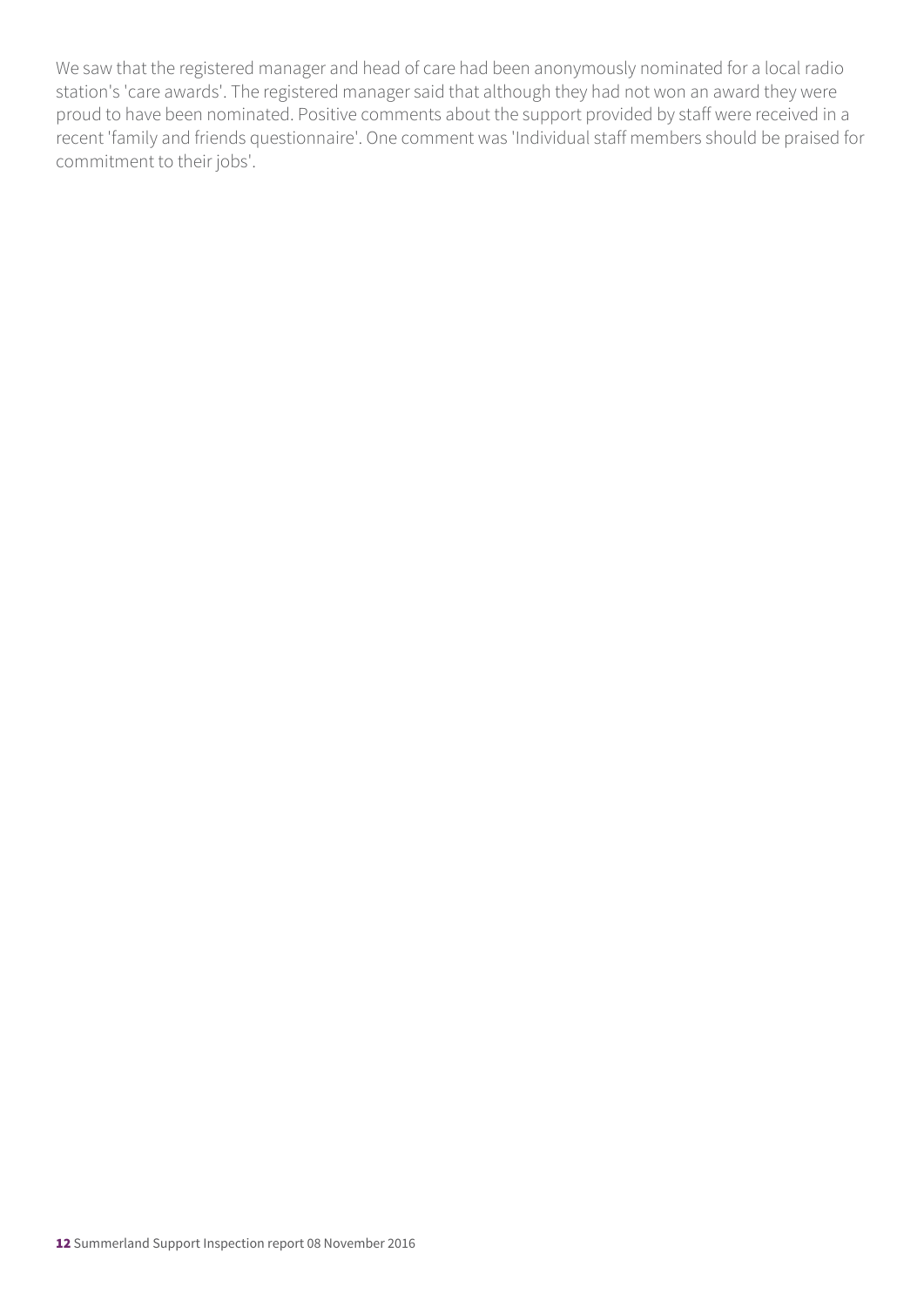We saw that the registered manager and head of care had been anonymously nominated for a local radio station's 'care awards'. The registered manager said that although they had not won an award they were proud to have been nominated. Positive comments about the support provided by staff were received in a recent 'family and friends questionnaire'. One comment was 'Individual staff members should be praised for commitment to their jobs'.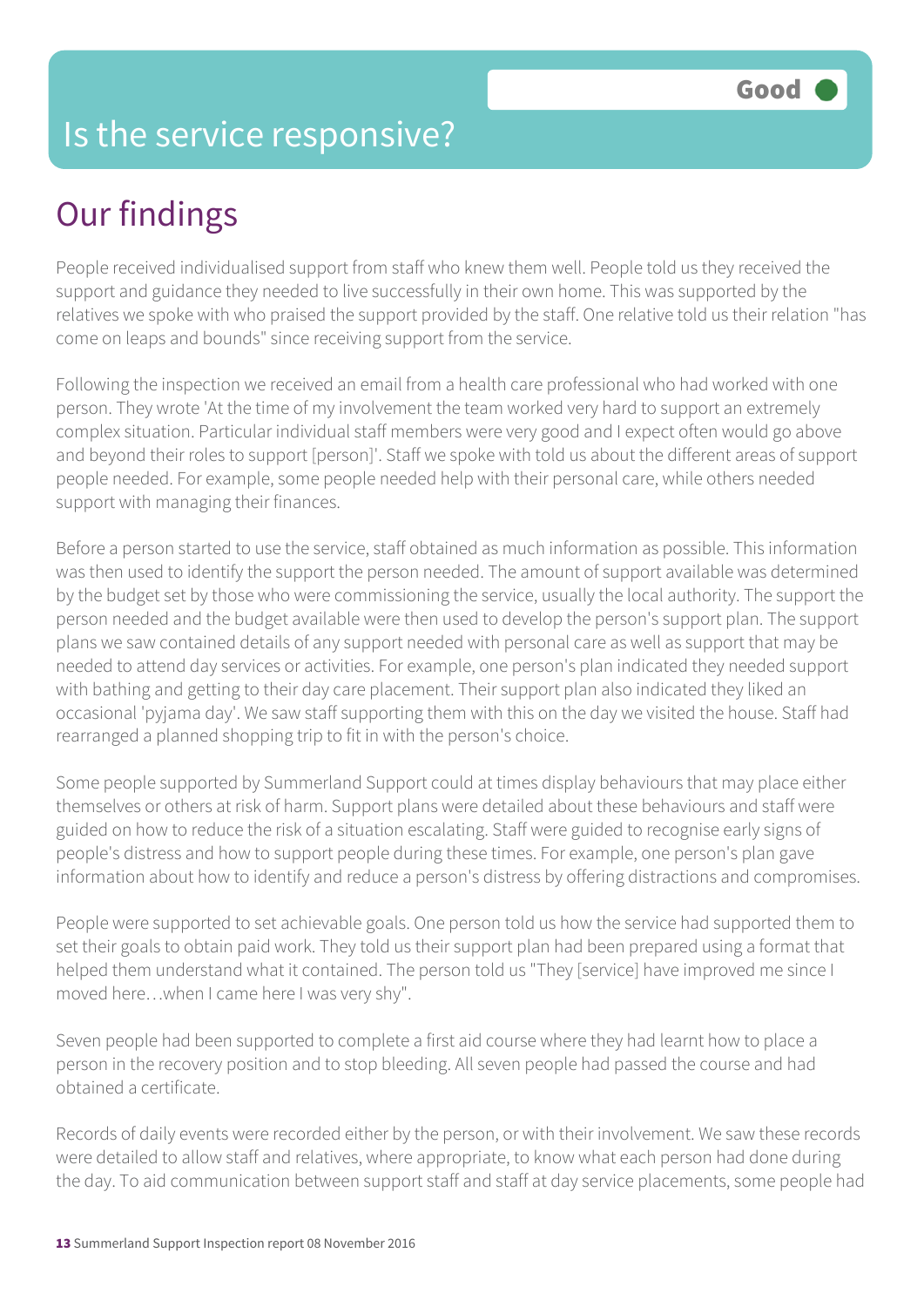## Is the service responsive?

# Our findings

People received individualised support from staff who knew them well. People told us they received the support and guidance they needed to live successfully in their own home. This was supported by the relatives we spoke with who praised the support provided by the staff. One relative told us their relation "has come on leaps and bounds" since receiving support from the service.

Following the inspection we received an email from a health care professional who had worked with one person. They wrote 'At the time of my involvement the team worked very hard to support an extremely complex situation. Particular individual staff members were very good and I expect often would go above and beyond their roles to support [person]'. Staff we spoke with told us about the different areas of support people needed. For example, some people needed help with their personal care, while others needed support with managing their finances.

Before a person started to use the service, staff obtained as much information as possible. This information was then used to identify the support the person needed. The amount of support available was determined by the budget set by those who were commissioning the service, usually the local authority. The support the person needed and the budget available were then used to develop the person's support plan. The support plans we saw contained details of any support needed with personal care as well as support that may be needed to attend day services or activities. For example, one person's plan indicated they needed support with bathing and getting to their day care placement. Their support plan also indicated they liked an occasional 'pyjama day'. We saw staff supporting them with this on the day we visited the house. Staff had rearranged a planned shopping trip to fit in with the person's choice.

Some people supported by Summerland Support could at times display behaviours that may place either themselves or others at risk of harm. Support plans were detailed about these behaviours and staff were guided on how to reduce the risk of a situation escalating. Staff were guided to recognise early signs of people's distress and how to support people during these times. For example, one person's plan gave information about how to identify and reduce a person's distress by offering distractions and compromises.

People were supported to set achievable goals. One person told us how the service had supported them to set their goals to obtain paid work. They told us their support plan had been prepared using a format that helped them understand what it contained. The person told us "They [service] have improved me since I moved here…when I came here I was very shy".

Seven people had been supported to complete a first aid course where they had learnt how to place a person in the recovery position and to stop bleeding. All seven people had passed the course and had obtained a certificate.

Records of daily events were recorded either by the person, or with their involvement. We saw these records were detailed to allow staff and relatives, where appropriate, to know what each person had done during the day. To aid communication between support staff and staff at day service placements, some people had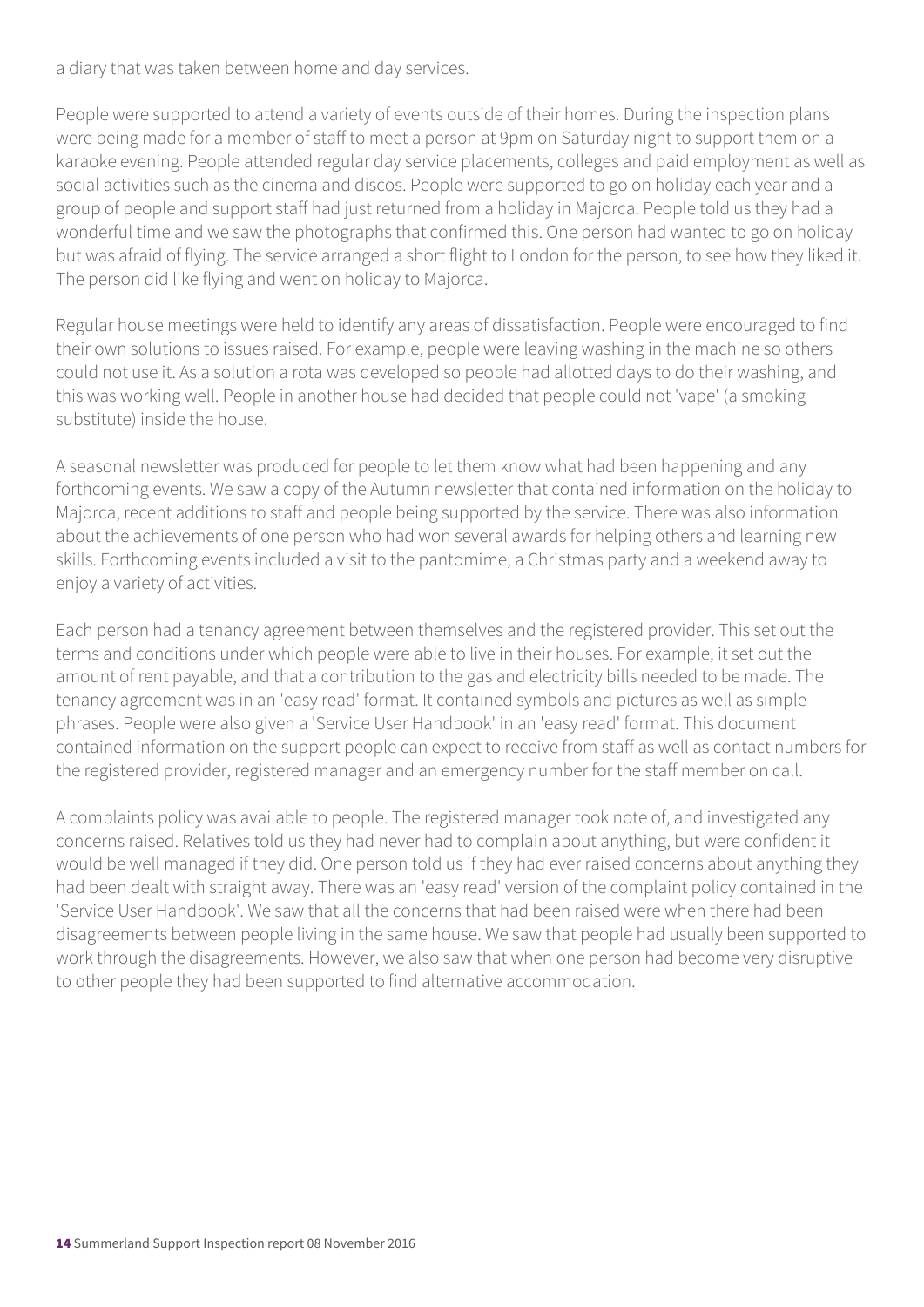a diary that was taken between home and day services.

People were supported to attend a variety of events outside of their homes. During the inspection plans were being made for a member of staff to meet a person at 9pm on Saturday night to support them on a karaoke evening. People attended regular day service placements, colleges and paid employment as well as social activities such as the cinema and discos. People were supported to go on holiday each year and a group of people and support staff had just returned from a holiday in Majorca. People told us they had a wonderful time and we saw the photographs that confirmed this. One person had wanted to go on holiday but was afraid of flying. The service arranged a short flight to London for the person, to see how they liked it. The person did like flying and went on holiday to Majorca.

Regular house meetings were held to identify any areas of dissatisfaction. People were encouraged to find their own solutions to issues raised. For example, people were leaving washing in the machine so others could not use it. As a solution a rota was developed so people had allotted days to do their washing, and this was working well. People in another house had decided that people could not 'vape' (a smoking substitute) inside the house.

A seasonal newsletter was produced for people to let them know what had been happening and any forthcoming events. We saw a copy of the Autumn newsletter that contained information on the holiday to Majorca, recent additions to staff and people being supported by the service. There was also information about the achievements of one person who had won several awards for helping others and learning new skills. Forthcoming events included a visit to the pantomime, a Christmas party and a weekend away to enjoy a variety of activities.

Each person had a tenancy agreement between themselves and the registered provider. This set out the terms and conditions under which people were able to live in their houses. For example, it set out the amount of rent payable, and that a contribution to the gas and electricity bills needed to be made. The tenancy agreement was in an 'easy read' format. It contained symbols and pictures as well as simple phrases. People were also given a 'Service User Handbook' in an 'easy read' format. This document contained information on the support people can expect to receive from staff as well as contact numbers for the registered provider, registered manager and an emergency number for the staff member on call.

A complaints policy was available to people. The registered manager took note of, and investigated any concerns raised. Relatives told us they had never had to complain about anything, but were confident it would be well managed if they did. One person told us if they had ever raised concerns about anything they had been dealt with straight away. There was an 'easy read' version of the complaint policy contained in the 'Service User Handbook'. We saw that all the concerns that had been raised were when there had been disagreements between people living in the same house. We saw that people had usually been supported to work through the disagreements. However, we also saw that when one person had become very disruptive to other people they had been supported to find alternative accommodation.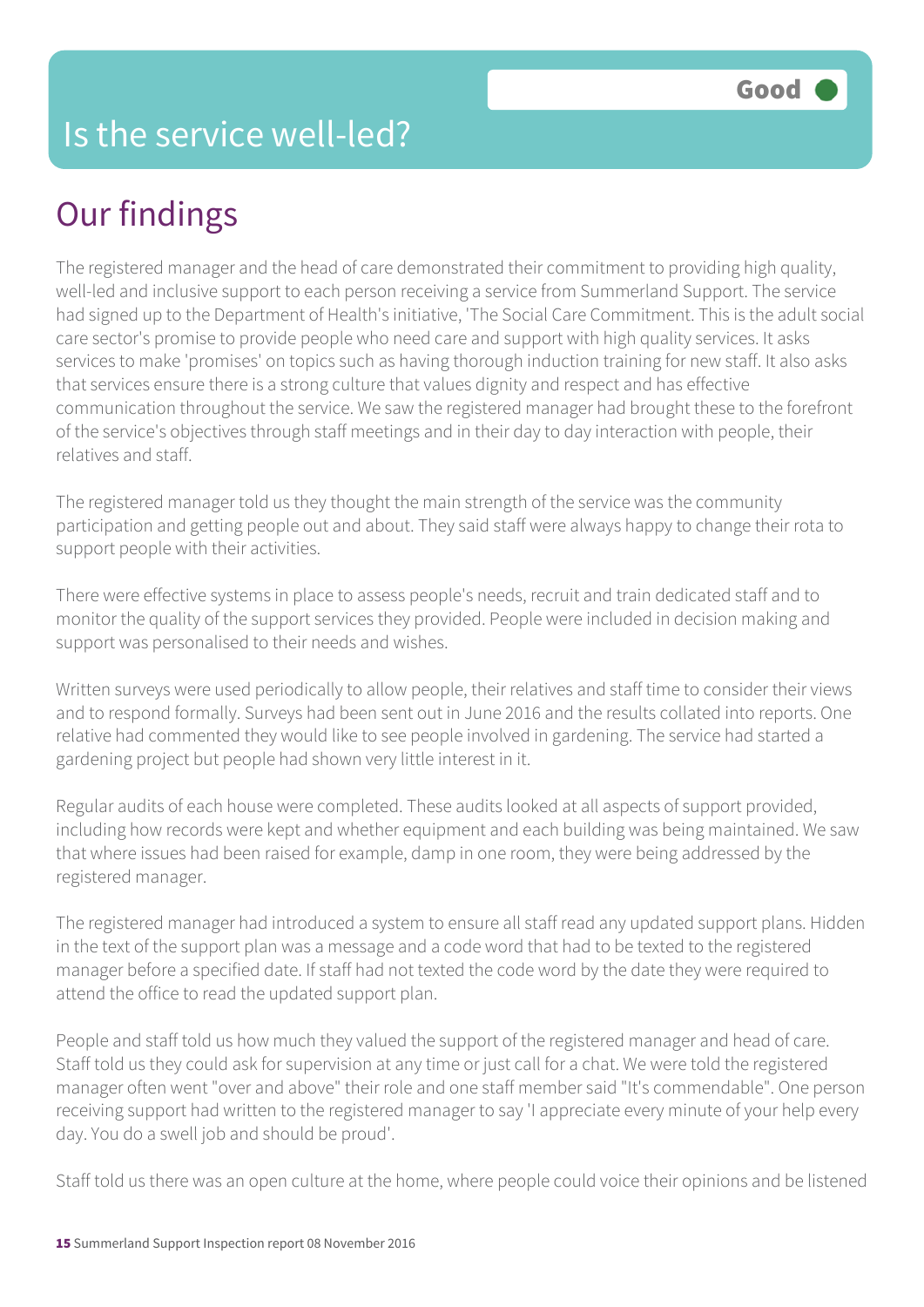# Our findings

The registered manager and the head of care demonstrated their commitment to providing high quality, well-led and inclusive support to each person receiving a service from Summerland Support. The service had signed up to the Department of Health's initiative, 'The Social Care Commitment. This is the adult social care sector's promise to provide people who need care and support with high quality services. It asks services to make 'promises' on topics such as having thorough induction training for new staff. It also asks that services ensure there is a strong culture that values dignity and respect and has effective communication throughout the service. We saw the registered manager had brought these to the forefront of the service's objectives through staff meetings and in their day to day interaction with people, their relatives and staff.

The registered manager told us they thought the main strength of the service was the community participation and getting people out and about. They said staff were always happy to change their rota to support people with their activities.

There were effective systems in place to assess people's needs, recruit and train dedicated staff and to monitor the quality of the support services they provided. People were included in decision making and support was personalised to their needs and wishes.

Written surveys were used periodically to allow people, their relatives and staff time to consider their views and to respond formally. Surveys had been sent out in June 2016 and the results collated into reports. One relative had commented they would like to see people involved in gardening. The service had started a gardening project but people had shown very little interest in it.

Regular audits of each house were completed. These audits looked at all aspects of support provided, including how records were kept and whether equipment and each building was being maintained. We saw that where issues had been raised for example, damp in one room, they were being addressed by the registered manager.

The registered manager had introduced a system to ensure all staff read any updated support plans. Hidden in the text of the support plan was a message and a code word that had to be texted to the registered manager before a specified date. If staff had not texted the code word by the date they were required to attend the office to read the updated support plan.

People and staff told us how much they valued the support of the registered manager and head of care. Staff told us they could ask for supervision at any time or just call for a chat. We were told the registered manager often went "over and above" their role and one staff member said "It's commendable". One person receiving support had written to the registered manager to say 'I appreciate every minute of your help every day. You do a swell job and should be proud'.

Staff told us there was an open culture at the home, where people could voice their opinions and be listened